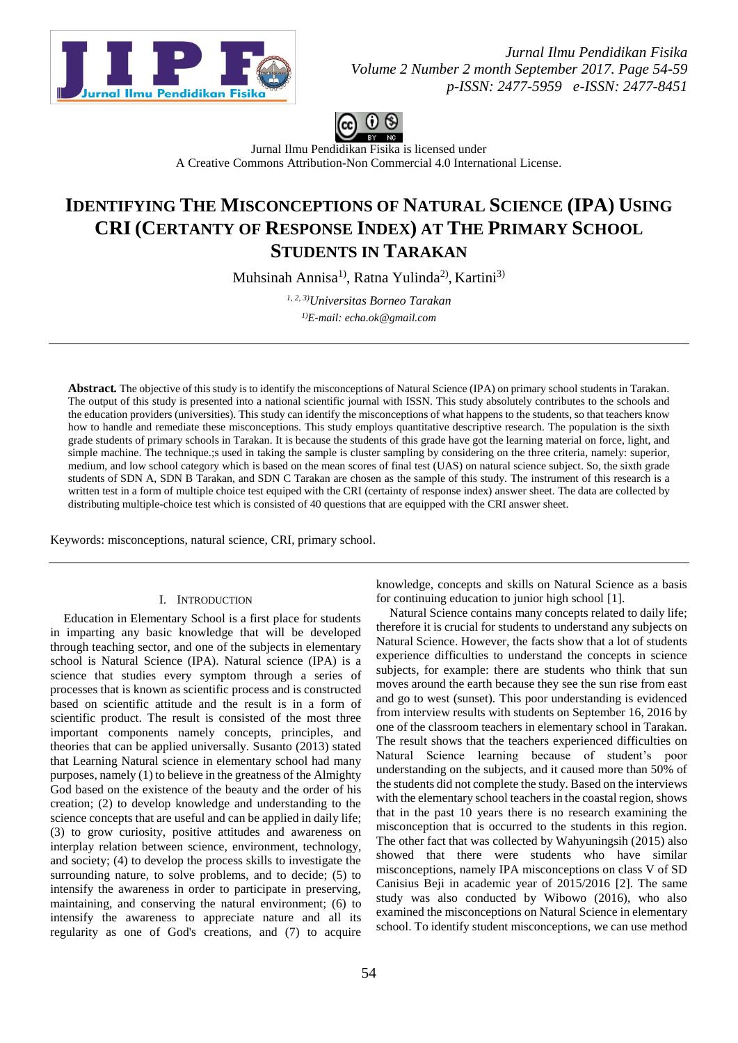



Jurnal Ilmu Pendidikan Fisika is licensed under A [Creative Commons Attribution-Non Commercial 4.0 International License.](http://creativecommons.org/licenses/by-nc/4.0/)

# **IDENTIFYING THE MISCONCEPTIONS OF NATURAL SCIENCE (IPA) USING CRI (CERTANTY OF RESPONSE INDEX) AT THE PRIMARY SCHOOL STUDENTS IN TARAKAN**

Muhsinah Annisa<sup>1)</sup>, Ratna Yulinda<sup>2)</sup>, Kartini<sup>3)</sup>

*1, 2, 3)Universitas Borneo Tarakan 1)E-mail: echa.ok@gmail.com*

**Abstract***.* The objective of this study is to identify the misconceptions of Natural Science (IPA) on primary school students in Tarakan. The output of this study is presented into a national scientific journal with ISSN. This study absolutely contributes to the schools and the education providers (universities). This study can identify the misconceptions of what happens to the students, so that teachers know how to handle and remediate these misconceptions. This study employs quantitative descriptive research. The population is the sixth grade students of primary schools in Tarakan. It is because the students of this grade have got the learning material on force, light, and simple machine. The technique.;s used in taking the sample is cluster sampling by considering on the three criteria, namely: superior, medium, and low school category which is based on the mean scores of final test (UAS) on natural science subject. So, the sixth grade students of SDN A, SDN B Tarakan, and SDN C Tarakan are chosen as the sample of this study. The instrument of this research is a written test in a form of multiple choice test equiped with the CRI (certainty of response index) answer sheet. The data are collected by distributing multiple-choice test which is consisted of 40 questions that are equipped with the CRI answer sheet.

Keywords: misconceptions, natural science, CRI, primary school.

## I. INTRODUCTION

Education in Elementary School is a first place for students in imparting any basic knowledge that will be developed through teaching sector, and one of the subjects in elementary school is Natural Science (IPA). Natural science (IPA) is a science that studies every symptom through a series of processes that is known as scientific process and is constructed based on scientific attitude and the result is in a form of scientific product. The result is consisted of the most three important components namely concepts, principles, and theories that can be applied universally. Susanto (2013) stated that Learning Natural science in elementary school had many purposes, namely (1) to believe in the greatness of the Almighty God based on the existence of the beauty and the order of his creation; (2) to develop knowledge and understanding to the science concepts that are useful and can be applied in daily life; (3) to grow curiosity, positive attitudes and awareness on interplay relation between science, environment, technology, and society; (4) to develop the process skills to investigate the surrounding nature, to solve problems, and to decide; (5) to intensify the awareness in order to participate in preserving, maintaining, and conserving the natural environment; (6) to intensify the awareness to appreciate nature and all its regularity as one of God's creations, and (7) to acquire

knowledge, concepts and skills on Natural Science as a basis for continuing education to junior high school [1].

Natural Science contains many concepts related to daily life; therefore it is crucial for students to understand any subjects on Natural Science. However, the facts show that a lot of students experience difficulties to understand the concepts in science subjects, for example: there are students who think that sun moves around the earth because they see the sun rise from east and go to west (sunset). This poor understanding is evidenced from interview results with students on September 16, 2016 by one of the classroom teachers in elementary school in Tarakan. The result shows that the teachers experienced difficulties on Natural Science learning because of student's poor understanding on the subjects, and it caused more than 50% of the students did not complete the study. Based on the interviews with the elementary school teachers in the coastal region, shows that in the past 10 years there is no research examining the misconception that is occurred to the students in this region. The other fact that was collected by Wahyuningsih (2015) also showed that there were students who have similar misconceptions, namely IPA misconceptions on class V of SD Canisius Beji in academic year of 2015/2016 [2]. The same study was also conducted by Wibowo (2016), who also examined the misconceptions on Natural Science in elementary school. To identify student misconceptions, we can use method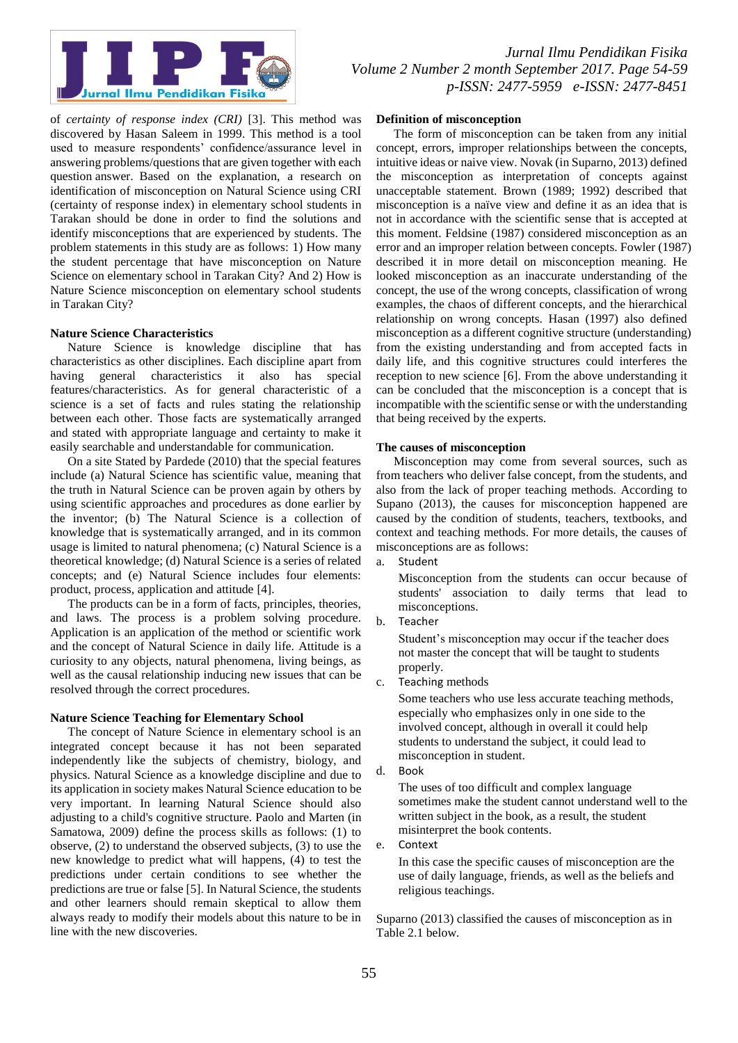

*Jurnal Ilmu Pendidikan Fisika Volume 2 Number 2 month September 2017. Page 54-59 p-ISSN: 2477-5959 e-ISSN: 2477-8451*

of *certainty of response index (CRI)* [3]. This method was discovered by Hasan Saleem in 1999. This method is a tool used to measure respondents' confidence/assurance level in answering problems/questions that are given together with each question answer. Based on the explanation, a research on identification of misconception on Natural Science using CRI (certainty of response index) in elementary school students in Tarakan should be done in order to find the solutions and identify misconceptions that are experienced by students. The problem statements in this study are as follows: 1) How many the student percentage that have misconception on Nature Science on elementary school in Tarakan City? And 2) How is Nature Science misconception on elementary school students in Tarakan City?

## **Nature Science Characteristics**

Nature Science is knowledge discipline that has characteristics as other disciplines. Each discipline apart from having general characteristics it also has special features/characteristics. As for general characteristic of a science is a set of facts and rules stating the relationship between each other. Those facts are systematically arranged and stated with appropriate language and certainty to make it easily searchable and understandable for communication.

On a site Stated by Pardede (2010) that the special features include (a) Natural Science has scientific value, meaning that the truth in Natural Science can be proven again by others by using scientific approaches and procedures as done earlier by the inventor; (b) The Natural Science is a collection of knowledge that is systematically arranged, and in its common usage is limited to natural phenomena; (c) Natural Science is a theoretical knowledge; (d) Natural Science is a series of related concepts; and (e) Natural Science includes four elements: product, process, application and attitude [4].

The products can be in a form of facts, principles, theories, and laws. The process is a problem solving procedure. Application is an application of the method or scientific work and the concept of Natural Science in daily life. Attitude is a curiosity to any objects, natural phenomena, living beings, as well as the causal relationship inducing new issues that can be resolved through the correct procedures.

## **Nature Science Teaching for Elementary School**

The concept of Nature Science in elementary school is an integrated concept because it has not been separated independently like the subjects of chemistry, biology, and physics. Natural Science as a knowledge discipline and due to its application in society makes Natural Science education to be very important. In learning Natural Science should also adjusting to a child's cognitive structure. Paolo and Marten (in Samatowa, 2009) define the process skills as follows: (1) to observe, (2) to understand the observed subjects, (3) to use the new knowledge to predict what will happens, (4) to test the predictions under certain conditions to see whether the predictions are true or false [5]. In Natural Science, the students and other learners should remain skeptical to allow them always ready to modify their models about this nature to be in line with the new discoveries.

## **Definition of misconception**

The form of misconception can be taken from any initial concept, errors, improper relationships between the concepts, intuitive ideas or naive view. Novak (in Suparno, 2013) defined the misconception as interpretation of concepts against unacceptable statement. Brown (1989; 1992) described that misconception is a naïve view and define it as an idea that is not in accordance with the scientific sense that is accepted at this moment. Feldsine (1987) considered misconception as an error and an improper relation between concepts. Fowler (1987) described it in more detail on misconception meaning. He looked misconception as an inaccurate understanding of the concept, the use of the wrong concepts, classification of wrong examples, the chaos of different concepts, and the hierarchical relationship on wrong concepts. Hasan (1997) also defined misconception as a different cognitive structure (understanding) from the existing understanding and from accepted facts in daily life, and this cognitive structures could interferes the reception to new science [6]. From the above understanding it can be concluded that the misconception is a concept that is incompatible with the scientific sense or with the understanding that being received by the experts.

## **The causes of misconception**

Misconception may come from several sources, such as from teachers who deliver false concept, from the students, and also from the lack of proper teaching methods. According to Supano (2013), the causes for misconception happened are caused by the condition of students, teachers, textbooks, and context and teaching methods. For more details, the causes of misconceptions are as follows:

Misconception from the students can occur because of students' association to daily terms that lead to misconceptions.

b. Teacher

Student's misconception may occur if the teacher does not master the concept that will be taught to students properly.

c. Teaching methods

Some teachers who use less accurate teaching methods, especially who emphasizes only in one side to the involved concept, although in overall it could help students to understand the subject, it could lead to misconception in student.

d. Book

The uses of too difficult and complex language sometimes make the student cannot understand well to the written subject in the book, as a result, the student misinterpret the book contents.

e. Context

In this case the specific causes of misconception are the use of daily language, friends, as well as the beliefs and religious teachings.

Suparno (2013) classified the causes of misconception as in Table 2.1 below.

a. Student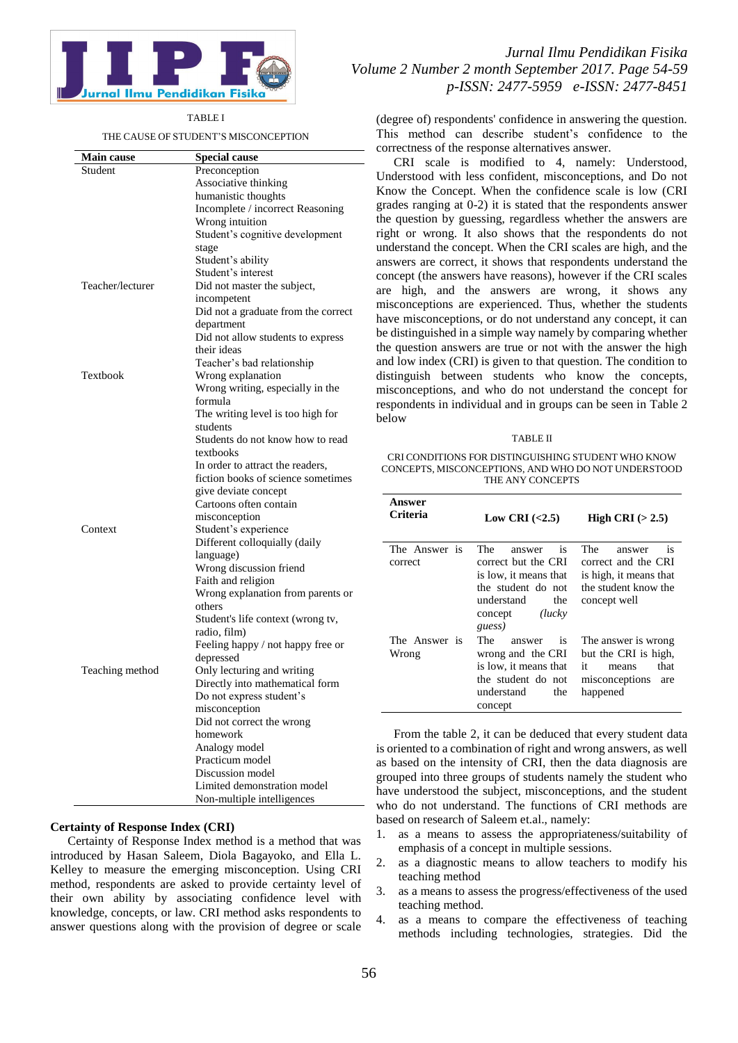

#### TABLE I

THE CAUSE OF STUDENT'S MISCONCEPTION

| <b>Main cause</b> | <b>Special cause</b>                                    |
|-------------------|---------------------------------------------------------|
| Student           | Preconception                                           |
|                   | Associative thinking                                    |
|                   | humanistic thoughts                                     |
|                   | Incomplete / incorrect Reasoning                        |
|                   | Wrong intuition                                         |
|                   | Student's cognitive development                         |
|                   | stage                                                   |
|                   | Student's ability                                       |
|                   | Student's interest                                      |
| Teacher/lecturer  | Did not master the subject,                             |
|                   | incompetent                                             |
|                   | Did not a graduate from the correct                     |
|                   | department                                              |
|                   | Did not allow students to express                       |
|                   | their ideas                                             |
|                   | Teacher's bad relationship                              |
| Textbook          | Wrong explanation                                       |
|                   | Wrong writing, especially in the                        |
|                   | formula                                                 |
|                   | The writing level is too high for                       |
|                   | students                                                |
|                   | Students do not know how to read                        |
|                   | textbooks                                               |
|                   | In order to attract the readers,                        |
|                   | fiction books of science sometimes                      |
|                   | give deviate concept                                    |
|                   | Cartoons often contain                                  |
|                   | misconception                                           |
| Context           | Student's experience                                    |
|                   | Different colloquially (daily                           |
|                   | language)                                               |
|                   | Wrong discussion friend                                 |
|                   | Faith and religion<br>Wrong explanation from parents or |
|                   | others                                                  |
|                   | Student's life context (wrong tv,                       |
|                   | radio, film)                                            |
|                   | Feeling happy / not happy free or                       |
|                   | depressed                                               |
| Teaching method   | Only lecturing and writing                              |
|                   | Directly into mathematical form                         |
|                   | Do not express student's                                |
|                   | misconception                                           |
|                   | Did not correct the wrong                               |
|                   | homework                                                |
|                   | Analogy model                                           |
|                   | Practicum model                                         |
|                   | Discussion model                                        |
|                   | Limited demonstration model                             |
|                   | Non-multiple intelligences                              |

## **Certainty of Response Index (CRI)**

Certainty of Response Index method is a method that was introduced by Hasan Saleem, Diola Bagayoko, and Ella L. Kelley to measure the emerging misconception. Using CRI method, respondents are asked to provide certainty level of their own ability by associating confidence level with knowledge, concepts, or law. CRI method asks respondents to answer questions along with the provision of degree or scale

## *Jurnal Ilmu Pendidikan Fisika Volume 2 Number 2 month September 2017. Page 54-59 p-ISSN: 2477-5959 e-ISSN: 2477-8451*

(degree of) respondents' confidence in answering the question. This method can describe student's confidence to the correctness of the response alternatives answer.

CRI scale is modified to 4, namely: Understood, Understood with less confident, misconceptions, and Do not Know the Concept. When the confidence scale is low (CRI grades ranging at 0-2) it is stated that the respondents answer the question by guessing, regardless whether the answers are right or wrong. It also shows that the respondents do not understand the concept. When the CRI scales are high, and the answers are correct, it shows that respondents understand the concept (the answers have reasons), however if the CRI scales are high, and the answers are wrong, it shows any misconceptions are experienced. Thus, whether the students have misconceptions, or do not understand any concept, it can be distinguished in a simple way namely by comparing whether the question answers are true or not with the answer the high and low index (CRI) is given to that question. The condition to distinguish between students who know the concepts, misconceptions, and who do not understand the concept for respondents in individual and in groups can be seen in Table 2 below

#### TABLE II

CRI CONDITIONS FOR DISTINGUISHING STUDENT WHO KNOW CONCEPTS, MISCONCEPTIONS, AND WHO DO NOT UNDERSTOOD THE ANY CONCEPTS

| Answer<br>Criteria       | Low CRI $\langle 2.5 \rangle$                                                                                                                   | High CRI $(>2.5)$                                                                                                          |
|--------------------------|-------------------------------------------------------------------------------------------------------------------------------------------------|----------------------------------------------------------------------------------------------------------------------------|
| The Answer is<br>correct | The<br>is.<br>answer<br>correct but the CRI<br>is low, it means that<br>the student do not<br>understand<br>the<br>(luckv)<br>concept<br>guess) | <b>The</b><br>answer<br><b>1S</b><br>correct and the CRI<br>is high, it means that<br>the student know the<br>concept well |
| The Answer is<br>Wrong   | The<br><i>is</i><br>answer<br>wrong and the CRI<br>is low, it means that<br>the student do not<br>understand<br>the<br>concept                  | The answer is wrong<br>but the CRI is high,<br>it<br>that<br>means<br>misconceptions<br>are<br>happened                    |

From the table 2, it can be deduced that every student data is oriented to a combination of right and wrong answers, as well as based on the intensity of CRI, then the data diagnosis are grouped into three groups of students namely the student who have understood the subject, misconceptions, and the student who do not understand. The functions of CRI methods are based on research of Saleem et.al., namely:

- 1. as a means to assess the appropriateness/suitability of emphasis of a concept in multiple sessions.
- 2. as a diagnostic means to allow teachers to modify his teaching method
- 3. as a means to assess the progress/effectiveness of the used teaching method.
- 4. as a means to compare the effectiveness of teaching methods including technologies, strategies. Did the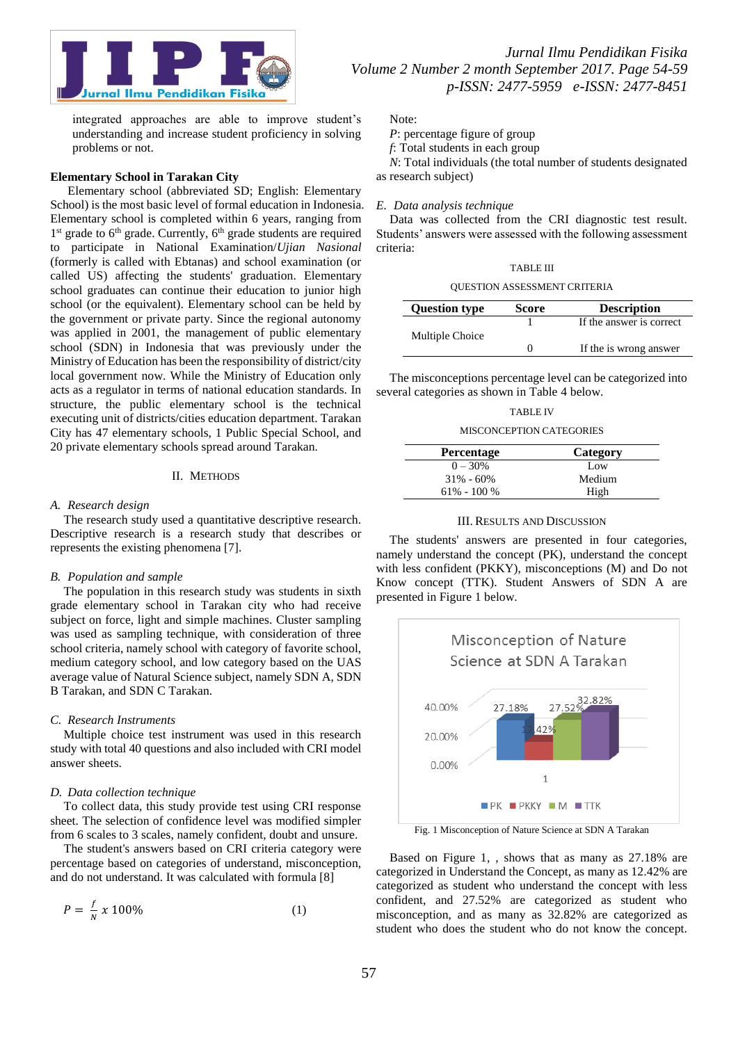

integrated approaches are able to improve student's understanding and increase student proficiency in solving problems or not.

## **Elementary School in Tarakan City**

Elementary school (abbreviated SD; English: Elementary School) is the most basic level of formal education in Indonesia. Elementary school is completed within 6 years, ranging from 1<sup>st</sup> grade to 6<sup>th</sup> grade. Currently, 6<sup>th</sup> grade students are required to participate in National Examination/*Ujian Nasional* (formerly is called with Ebtanas) and school examination (or called US) affecting the students' graduation. Elementary school graduates can continue their education to junior high school (or the equivalent). Elementary school can be held by the government or private party. Since the regional autonomy was applied in 2001, the management of public elementary school (SDN) in Indonesia that was previously under the Ministry of Education has been the responsibility of district/city local government now. While the Ministry of Education only acts as a regulator in terms of national education standards. In structure, the public elementary school is the technical executing unit of districts/cities education department. Tarakan City has 47 elementary schools, 1 Public Special School, and 20 private elementary schools spread around Tarakan.

## II. METHODS

#### *A. Research design*

The research study used a quantitative descriptive research. Descriptive research is a research study that describes or represents the existing phenomena [7].

## *B. Population and sample*

The population in this research study was students in sixth grade elementary school in Tarakan city who had receive subject on force, light and simple machines. Cluster sampling was used as sampling technique, with consideration of three school criteria, namely school with category of favorite school, medium category school, and low category based on the UAS average value of Natural Science subject, namely SDN A, SDN B Tarakan, and SDN C Tarakan.

#### *C. Research Instruments*

Multiple choice test instrument was used in this research study with total 40 questions and also included with CRI model answer sheets.

#### *D. Data collection technique*

To collect data, this study provide test using CRI response sheet. The selection of confidence level was modified simpler from 6 scales to 3 scales, namely confident, doubt and unsure.

The student's answers based on CRI criteria category were percentage based on categories of understand, misconception, and do not understand. It was calculated with formula [8]

$$
P = \frac{f}{N} \times 100\%
$$
 (1)

Note:

*P*: percentage figure of group

*f*: Total students in each group

*N*: Total individuals (the total number of students designated as research subject)

## *E. Data analysis technique*

Data was collected from the CRI diagnostic test result. Students' answers were assessed with the following assessment criteria:

| <b>TABLE III</b>                    |
|-------------------------------------|
| <b>OUESTION ASSESSMENT CRITERIA</b> |

| <b>Question type</b> | Score | <b>Description</b>       |
|----------------------|-------|--------------------------|
|                      |       | If the answer is correct |
| Multiple Choice      |       | If the is wrong answer   |

The misconceptions percentage level can be categorized into several categories as shown in Table 4 below.

## TABLE IV

#### MISCONCEPTION CATEGORIES

| <b>Percentage</b> | Category |
|-------------------|----------|
| $0 - 30\%$        | Low      |
| $31\% - 60\%$     | Medium   |
| $61\% - 100\%$    | High     |

#### III. RESULTS AND DISCUSSION

The students' answers are presented in four categories, namely understand the concept (PK), understand the concept with less confident (PKKY), misconceptions (M) and Do not Know concept (TTK). Student Answers of SDN A are presented in Figure 1 below.



Fig. 1 Misconception of Nature Science at SDN A Tarakan

Based on Figure 1, , shows that as many as 27.18% are categorized in Understand the Concept, as many as 12.42% are categorized as student who understand the concept with less confident, and 27.52% are categorized as student who misconception, and as many as 32.82% are categorized as student who does the student who do not know the concept.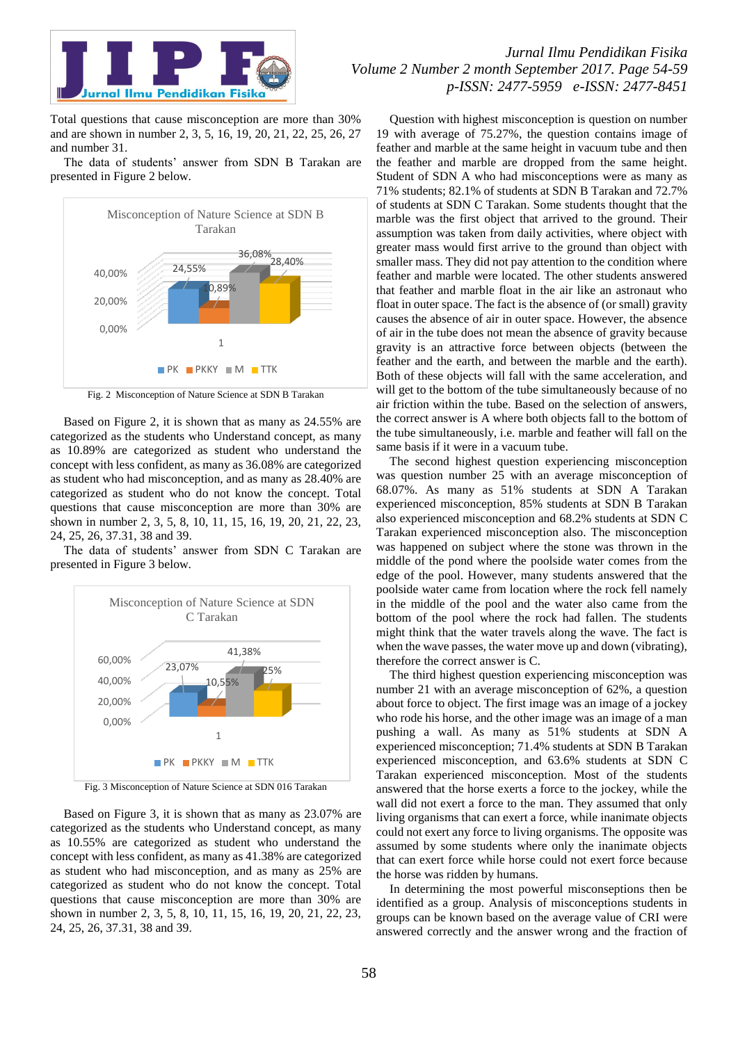

Total questions that cause misconception are more than 30% and are shown in number 2, 3, 5, 16, 19, 20, 21, 22, 25, 26, 27 and number 31.

The data of students' answer from SDN B Tarakan are presented in Figure 2 below.



Fig. 2 Misconception of Nature Science at SDN B Tarakan

Based on Figure 2, it is shown that as many as 24.55% are categorized as the students who Understand concept, as many as 10.89% are categorized as student who understand the concept with less confident, as many as 36.08% are categorized as student who had misconception, and as many as 28.40% are categorized as student who do not know the concept. Total questions that cause misconception are more than 30% are shown in number 2, 3, 5, 8, 10, 11, 15, 16, 19, 20, 21, 22, 23, 24, 25, 26, 37.31, 38 and 39.

The data of students' answer from SDN C Tarakan are presented in Figure 3 below.



Fig. 3 Misconception of Nature Science at SDN 016 Tarakan

Based on Figure 3, it is shown that as many as 23.07% are categorized as the students who Understand concept, as many as 10.55% are categorized as student who understand the concept with less confident, as many as 41.38% are categorized as student who had misconception, and as many as 25% are categorized as student who do not know the concept. Total questions that cause misconception are more than 30% are shown in number 2, 3, 5, 8, 10, 11, 15, 16, 19, 20, 21, 22, 23, 24, 25, 26, 37.31, 38 and 39.

Question with highest misconception is question on number 19 with average of 75.27%, the question contains image of feather and marble at the same height in vacuum tube and then the feather and marble are dropped from the same height. Student of SDN A who had misconceptions were as many as 71% students; 82.1% of students at SDN B Tarakan and 72.7% of students at SDN C Tarakan. Some students thought that the marble was the first object that arrived to the ground. Their assumption was taken from daily activities, where object with greater mass would first arrive to the ground than object with smaller mass. They did not pay attention to the condition where feather and marble were located. The other students answered that feather and marble float in the air like an astronaut who float in outer space. The fact is the absence of (or small) gravity causes the absence of air in outer space. However, the absence of air in the tube does not mean the absence of gravity because gravity is an attractive force between objects (between the feather and the earth, and between the marble and the earth). Both of these objects will fall with the same acceleration, and will get to the bottom of the tube simultaneously because of no air friction within the tube. Based on the selection of answers, the correct answer is A where both objects fall to the bottom of the tube simultaneously, i.e. marble and feather will fall on the same basis if it were in a vacuum tube.

The second highest question experiencing misconception was question number 25 with an average misconception of 68.07%. As many as 51% students at SDN A Tarakan experienced misconception, 85% students at SDN B Tarakan also experienced misconception and 68.2% students at SDN C Tarakan experienced misconception also. The misconception was happened on subject where the stone was thrown in the middle of the pond where the poolside water comes from the edge of the pool. However, many students answered that the poolside water came from location where the rock fell namely in the middle of the pool and the water also came from the bottom of the pool where the rock had fallen. The students might think that the water travels along the wave. The fact is when the wave passes, the water move up and down (vibrating), therefore the correct answer is C.

The third highest question experiencing misconception was number 21 with an average misconception of 62%, a question about force to object. The first image was an image of a jockey who rode his horse, and the other image was an image of a man pushing a wall. As many as 51% students at SDN A experienced misconception; 71.4% students at SDN B Tarakan experienced misconception, and 63.6% students at SDN C Tarakan experienced misconception. Most of the students answered that the horse exerts a force to the jockey, while the wall did not exert a force to the man. They assumed that only living organisms that can exert a force, while inanimate objects could not exert any force to living organisms. The opposite was assumed by some students where only the inanimate objects that can exert force while horse could not exert force because the horse was ridden by humans.

In determining the most powerful misconseptions then be identified as a group. Analysis of misconceptions students in groups can be known based on the average value of CRI were answered correctly and the answer wrong and the fraction of